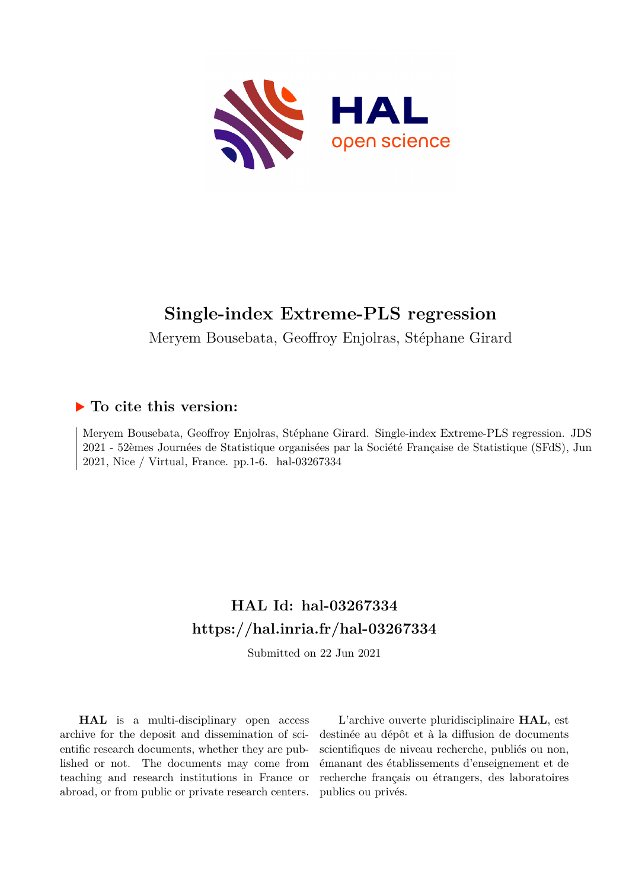

# **Single-index Extreme-PLS regression**

Meryem Bousebata, Geoffroy Enjolras, Stéphane Girard

#### **To cite this version:**

Meryem Bousebata, Geoffroy Enjolras, Stéphane Girard. Single-index Extreme-PLS regression. JDS 2021 - 52èmes Journées de Statistique organisées par la Société Française de Statistique (SFdS), Jun 2021, Nice / Virtual, France. pp. 1-6. hal-03267334

## **HAL Id: hal-03267334 <https://hal.inria.fr/hal-03267334>**

Submitted on 22 Jun 2021

**HAL** is a multi-disciplinary open access archive for the deposit and dissemination of scientific research documents, whether they are published or not. The documents may come from teaching and research institutions in France or abroad, or from public or private research centers.

L'archive ouverte pluridisciplinaire **HAL**, est destinée au dépôt et à la diffusion de documents scientifiques de niveau recherche, publiés ou non, émanant des établissements d'enseignement et de recherche français ou étrangers, des laboratoires publics ou privés.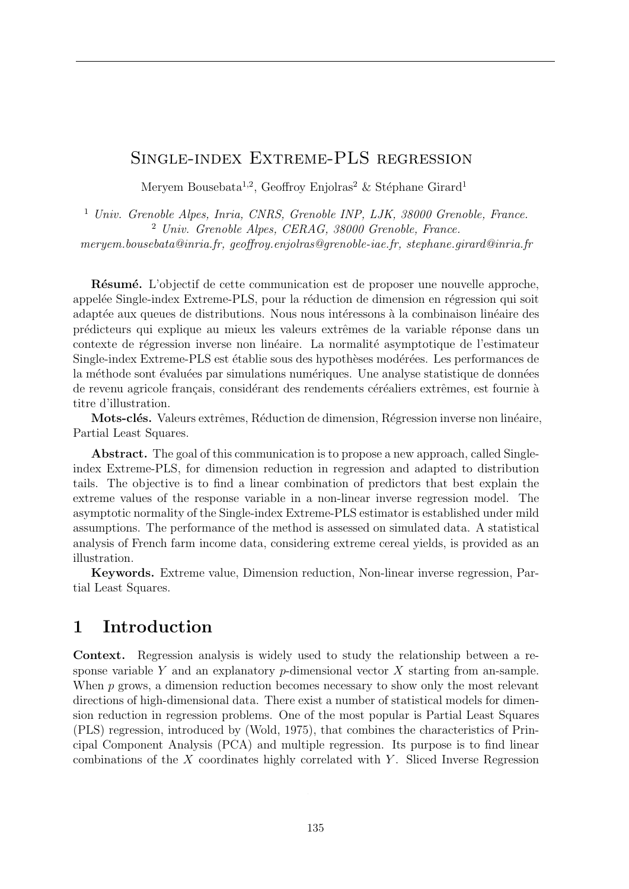#### Single-index Extreme-PLS regression

Meryem Bousebata<sup>1,2</sup>, Geoffroy Enjolras<sup>2</sup> & Stéphane Girard<sup>1</sup>

<sup>1</sup> *Univ. Grenoble Alpes, Inria, CNRS, Grenoble INP, LJK, 38000 Grenoble, France.* <sup>2</sup> *Univ. Grenoble Alpes, CERAG, 38000 Grenoble, France. meryem.bousebata@inria.fr, geo*ff*roy.enjolras@grenoble-iae.fr, stephane.girard@inria.fr*

Résumé. L'objectif de cette communication est de proposer une nouvelle approche, appelée Single-index Extreme-PLS, pour la réduction de dimension en régression qui soit adaptée aux queues de distributions. Nous nous intéressons à la combinaison linéaire des prédicteurs qui explique au mieux les valeurs extrêmes de la variable réponse dans un contexte de régression inverse non linéaire. La normalité asymptotique de l'estimateur Single-index Extreme-PLS est établie sous des hypothèses modérées. Les performances de la méthode sont évaluées par simulations numériques. Une analyse statistique de données de revenu agricole français, considérant des rendements céréaliers extrêmes, est fournie à titre d'illustration.

Mots-clés. Valeurs extrêmes, Réduction de dimension, Régression inverse non linéaire, Partial Least Squares.

Abstract. The goal of this communication is to propose a new approach, called Singleindex Extreme-PLS, for dimension reduction in regression and adapted to distribution tails. The objective is to find a linear combination of predictors that best explain the extreme values of the response variable in a non-linear inverse regression model. The asymptotic normality of the Single-index Extreme-PLS estimator is established under mild assumptions. The performance of the method is assessed on simulated data. A statistical analysis of French farm income data, considering extreme cereal yields, is provided as an illustration.

Keywords. Extreme value, Dimension reduction, Non-linear inverse regression, Partial Least Squares.

### 1 Introduction

Context. Regression analysis is widely used to study the relationship between a response variable *Y* and an explanatory *p*-dimensional vector *X* starting from an-sample. When *p* grows, a dimension reduction becomes necessary to show only the most relevant directions of high-dimensional data. There exist a number of statistical models for dimension reduction in regression problems. One of the most popular is Partial Least Squares (PLS) regression, introduced by (Wold, 1975), that combines the characteristics of Principal Component Analysis (PCA) and multiple regression. Its purpose is to find linear combinations of the *X* coordinates highly correlated with *Y* . Sliced Inverse Regression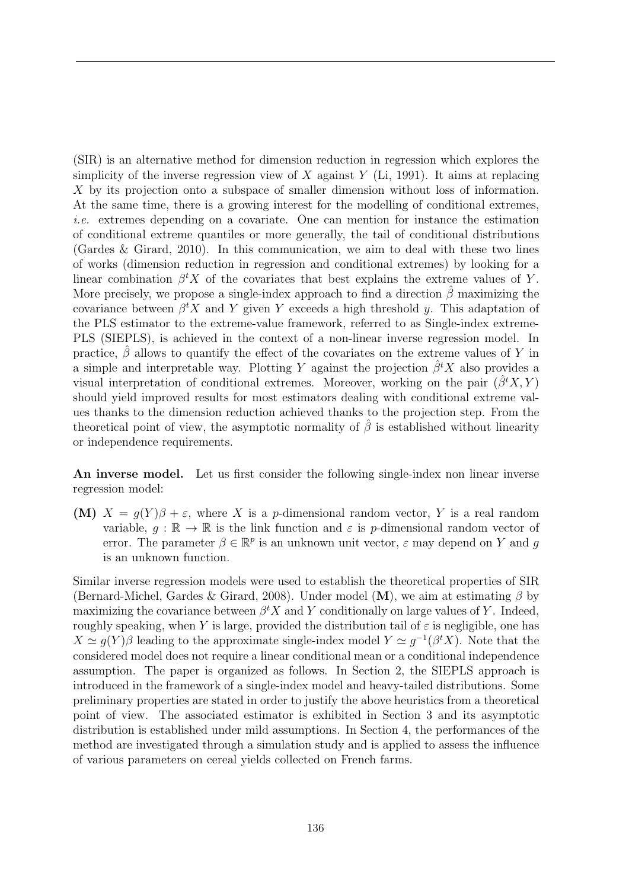(SIR) is an alternative method for dimension reduction in regression which explores the simplicity of the inverse regression view of *X* against *Y* (Li, 1991). It aims at replacing *X* by its projection onto a subspace of smaller dimension without loss of information. At the same time, there is a growing interest for the modelling of conditional extremes, *i.e.* extremes depending on a covariate. One can mention for instance the estimation of conditional extreme quantiles or more generally, the tail of conditional distributions (Gardes & Girard, 2010). In this communication, we aim to deal with these two lines of works (dimension reduction in regression and conditional extremes) by looking for a linear combination  $\beta^t X$  of the covariates that best explains the extreme values of *Y*. More precisely, we propose a single-index approach to find a direction  $\hat{\beta}$  maximizing the covariance between  $\beta^t X$  and *Y* given *Y* exceeds a high threshold *y*. This adaptation of the PLS estimator to the extreme-value framework, referred to as Single-index extreme-PLS (SIEPLS), is achieved in the context of a non-linear inverse regression model. In practice,  $\hat{\beta}$  allows to quantify the effect of the covariates on the extreme values of *Y* in a simple and interpretable way. Plotting *Y* against the projection  $\hat{\beta}^t X$  also provides a visual interpretation of conditional extremes. Moreover, working on the pair  $(\hat{\beta}^t X, Y)$ should yield improved results for most estimators dealing with conditional extreme values thanks to the dimension reduction achieved thanks to the projection step. From the theoretical point of view, the asymptotic normality of  $\hat{\beta}$  is established without linearity or independence requirements.

An inverse model. Let us first consider the following single-index non linear inverse regression model:

(M)  $X = g(Y)\beta + \varepsilon$ , where X is a *p*-dimensional random vector, Y is a real random variable,  $g : \mathbb{R} \to \mathbb{R}$  is the link function and  $\varepsilon$  is *p*-dimensional random vector of error. The parameter  $\beta \in \mathbb{R}^p$  is an unknown unit vector,  $\varepsilon$  may depend on *Y* and *q* is an unknown function.

Similar inverse regression models were used to establish the theoretical properties of SIR (Bernard-Michel, Gardes & Girard, 2008). Under model  $(M)$ , we aim at estimating  $\beta$  by maximizing the covariance between  $\beta^t X$  and  $Y$  conditionally on large values of  $Y$ . Indeed, roughly speaking, when *Y* is large, provided the distribution tail of  $\varepsilon$  is negligible, one has  $X \simeq g(Y)\beta$  leading to the approximate single-index model  $Y \simeq g^{-1}(\beta^t X)$ . Note that the considered model does not require a linear conditional mean or a conditional independence assumption. The paper is organized as follows. In Section 2, the SIEPLS approach is introduced in the framework of a single-index model and heavy-tailed distributions. Some preliminary properties are stated in order to justify the above heuristics from a theoretical point of view. The associated estimator is exhibited in Section 3 and its asymptotic distribution is established under mild assumptions. In Section 4, the performances of the method are investigated through a simulation study and is applied to assess the influence of various parameters on cereal yields collected on French farms.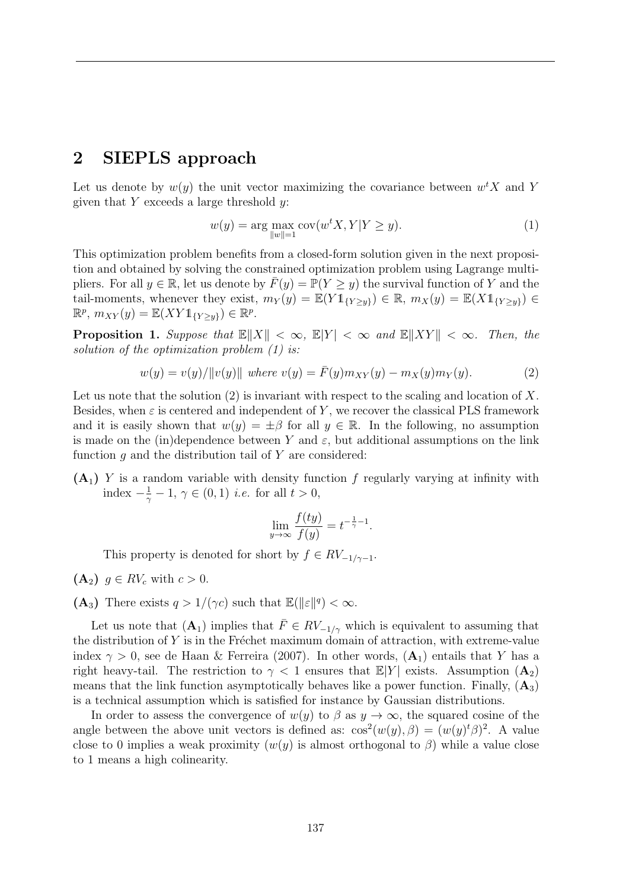#### 2 SIEPLS approach

Let us denote by  $w(y)$  the unit vector maximizing the covariance between  $w<sup>t</sup>X$  and Y given that *Y* exceeds a large threshold *y*:

$$
w(y) = \arg\max_{\|w\|=1} \text{cov}(w^t X, Y | Y \ge y).
$$
 (1)

This optimization problem benefits from a closed-form solution given in the next proposition and obtained by solving the constrained optimization problem using Lagrange multipliers. For all  $y \in \mathbb{R}$ , let us denote by  $\overline{F}(y) = \mathbb{P}(Y \ge y)$  the survival function of Y and the tail-moments, whenever they exist,  $m_Y(y) = \mathbb{E}(Y \mathbb{1}_{\{Y \ge y\}}) \in \mathbb{R}, m_X(y) = \mathbb{E}(X \mathbb{1}_{\{Y \ge y\}}) \in$  $\mathbb{R}^p$ ,  $m_{XY}(y) = \mathbb{E}(XY1_{\{Y>y\}}) \in \mathbb{R}^p$ .

**Proposition 1.** Suppose that  $\mathbb{E}\|X\| < \infty$ ,  $\mathbb{E}|Y| < \infty$  and  $\mathbb{E}\|XY\| < \infty$ . Then, the *solution of the optimization problem (1) is:*

$$
w(y) = v(y)/\|v(y)\| \text{ where } v(y) = \bar{F}(y)m_{XY}(y) - m_X(y)m_Y(y). \tag{2}
$$

Let us note that the solution (2) is invariant with respect to the scaling and location of *X*. Besides, when  $\varepsilon$  is centered and independent of Y, we recover the classical PLS framework and it is easily shown that  $w(y) = \pm \beta$  for all  $y \in \mathbb{R}$ . In the following, no assumption is made on the (in)dependence between *Y* and  $\varepsilon$ , but additional assumptions on the link function *g* and the distribution tail of *Y* are considered:

(A1) *Y* is a random variable with density function *f* regularly varying at infinity with index  $-\frac{1}{\gamma} - 1$ ,  $\gamma \in (0, 1)$  *i.e.* for all *t* > 0,

$$
\lim_{y \to \infty} \frac{f(ty)}{f(y)} = t^{-\frac{1}{\gamma} - 1}.
$$

This property is denoted for short by  $f \in RV_{-1/\gamma-1}$ .

- $(A_2)$   $q \in RV_c$  with  $c > 0$ .
- (A<sub>3</sub>) There exists  $q > 1/(\gamma c)$  such that  $\mathbb{E}(\|\varepsilon\|^q) < \infty$ .

Let us note that  $(A_1)$  implies that  $\overline{F} \in RV_{-1/\gamma}$  which is equivalent to assuming that the distribution of  $Y$  is in the Fréchet maximum domain of attraction, with extreme-value index  $\gamma > 0$ , see de Haan & Ferreira (2007). In other words,  $(A_1)$  entails that *Y* has a right heavy-tail. The restriction to  $\gamma < 1$  ensures that  $\mathbb{E}[Y]$  exists. Assumption  $(\mathbf{A}_2)$ means that the link function asymptotically behaves like a power function. Finally,  $(A_3)$ is a technical assumption which is satisfied for instance by Gaussian distributions.

In order to assess the convergence of  $w(y)$  to  $\beta$  as  $y \to \infty$ , the squared cosine of the angle between the above unit vectors is defined as:  $\cos^2(w(y), \beta) = (w(y)^t \beta)^2$ . A value close to 0 implies a weak proximity  $(w(y))$  is almost orthogonal to  $\beta$ ) while a value close to 1 means a high colinearity.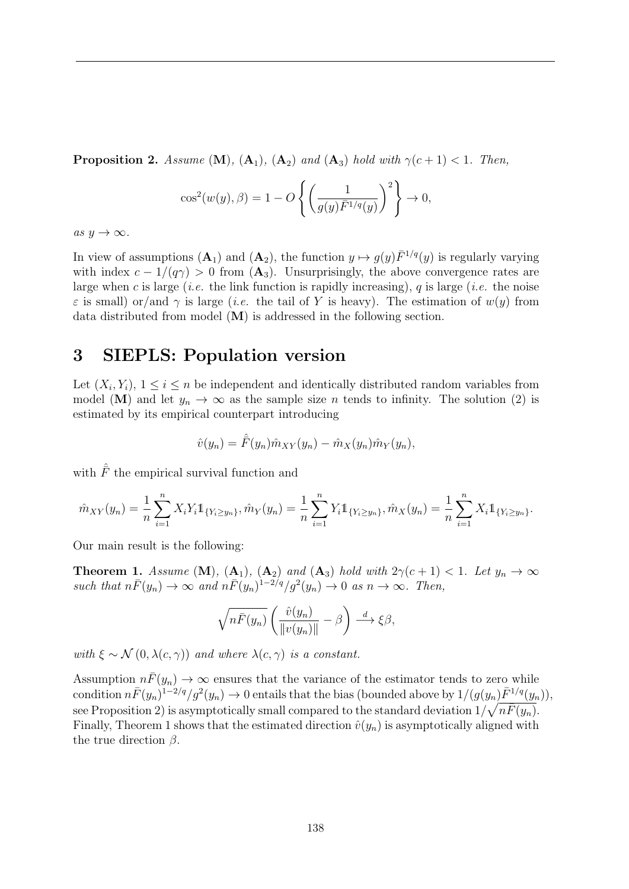**Proposition 2.** Assume  $(M)$ ,  $(A_1)$ ,  $(A_2)$  and  $(A_3)$  hold with  $\gamma(c+1) < 1$ . Then,

$$
\cos^2(w(y), \beta) = 1 - O\left\{ \left( \frac{1}{g(y)\bar{F}^{1/q}(y)} \right)^2 \right\} \to 0,
$$

 $as y \rightarrow \infty$ .

In view of assumptions  $(A_1)$  and  $(A_2)$ , the function  $y \mapsto g(y) \bar{F}^{1/q}(y)$  is regularly varying with index  $c - 1/(q\gamma) > 0$  from  $(A_3)$ . Unsurprisingly, the above convergence rates are large when *c* is large (*i.e.* the link function is rapidly increasing), *q* is large (*i.e.* the noise  $\varepsilon$  is small) or/and  $\gamma$  is large (*i.e.* the tail of Y is heavy). The estimation of  $w(y)$  from data distributed from model (M) is addressed in the following section.

#### 3 SIEPLS: Population version

Let  $(X_i, Y_i)$ ,  $1 \leq i \leq n$  be independent and identically distributed random variables from model (M) and let  $y_n \to \infty$  as the sample size *n* tends to infinity. The solution (2) is estimated by its empirical counterpart introducing

$$
\hat{v}(y_n) = \hat{F}(y_n)\hat{m}_{XY}(y_n) - \hat{m}_X(y_n)\hat{m}_Y(y_n),
$$

with  $\hat{\bar{F}}$  the empirical survival function and

$$
\hat{m}_{XY}(y_n) = \frac{1}{n} \sum_{i=1}^n X_i Y_i \mathbb{1}_{\{Y_i \ge y_n\}}, \hat{m}_Y(y_n) = \frac{1}{n} \sum_{i=1}^n Y_i \mathbb{1}_{\{Y_i \ge y_n\}}, \hat{m}_X(y_n) = \frac{1}{n} \sum_{i=1}^n X_i \mathbb{1}_{\{Y_i \ge y_n\}}.
$$

Our main result is the following:

**Theorem 1.** *Assume* (**M**)*,* (**A**<sub>1</sub>*),* (**A**<sub>2</sub>*) and* (**A**<sub>3</sub>*) hold with*  $2\gamma(c+1) < 1$ *. Let*  $y_n \to \infty$  $such that n\bar{F}(y_n) \to \infty$  *and*  $n\bar{F}(y_n)^{1-2/q}/g^2(y_n) \to 0$  *as*  $n \to \infty$ *. Then,* 

$$
\sqrt{n\bar{F}(y_n)}\left(\frac{\hat{v}(y_n)}{\|v(y_n)\|}-\beta\right) \stackrel{d}{\longrightarrow} \xi\beta,
$$

*with*  $\xi \sim \mathcal{N}(0, \lambda(c, \gamma))$  *and where*  $\lambda(c, \gamma)$  *is a constant.* 

Assumption  $n\bar{F}(y_n) \to \infty$  ensures that the variance of the estimator tends to zero while condition  $n\bar{F}(y_n)^{1-2/q}/g^2(y_n) \to 0$  entails that the bias (bounded above by  $1/(g(y_n)\bar{F}^{1/q}(y_n))$ ,  $\epsilon$  see Proposition 2) is asymptotically small compared to the standard deviation  $1/\sqrt{n\bar{F}(y_n)}$ . Finally, Theorem 1 shows that the estimated direction  $\hat{v}(y_n)$  is asymptotically aligned with the true direction  $\beta$ .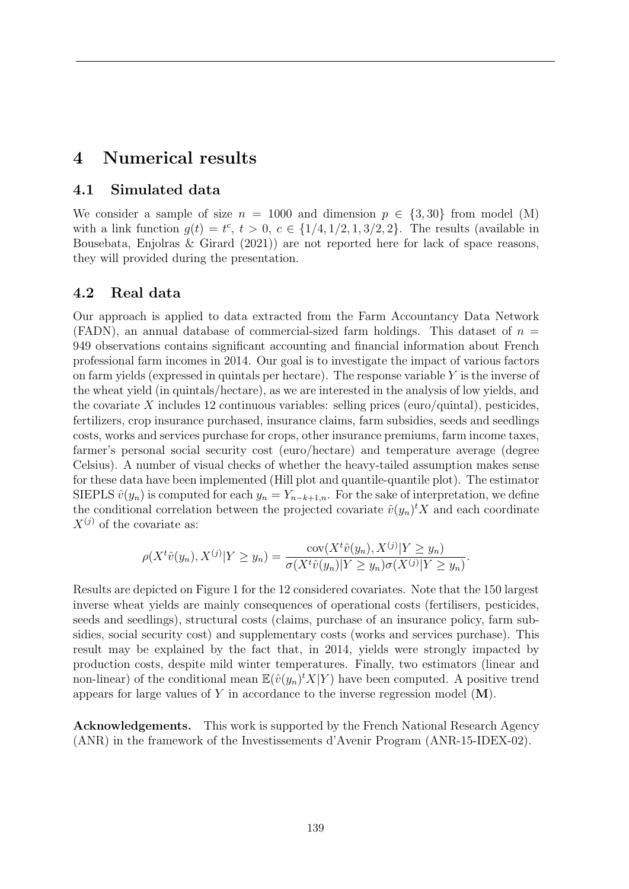### 4 Numerical results

#### 4.1 Simulated data

We consider a sample of size  $n = 1000$  and dimension  $p \in \{3, 30\}$  from model (M) with a link function  $g(t) = t^c$ ,  $t > 0$ ,  $c \in \{1/4, 1/2, 1, 3/2, 2\}$ . The results (available in Bousebata, Enjolras & Girard (2021)) are not reported here for lack of space reasons, they will provided during the presentation.

#### 4.2 Real data

Our approach is applied to data extracted from the Farm Accountancy Data Network (FADN), an annual database of commercial-sized farm holdings. This dataset of *n* = 949 observations contains significant accounting and financial information about French professional farm incomes in 2014. Our goal is to investigate the impact of various factors on farm yields (expressed in quintals per hectare). The response variable *Y* is the inverse of the wheat yield (in quintals/hectare), as we are interested in the analysis of low yields, and the covariate  $X$  includes 12 continuous variables: selling prices (euro/quintal), pesticides, fertilizers, crop insurance purchased, insurance claims, farm subsidies, seeds and seedlings costs, works and services purchase for crops, other insurance premiums, farm income taxes, farmer's personal social security cost (euro/hectare) and temperature average (degree Celsius). A number of visual checks of whether the heavy-tailed assumption makes sense for these data have been implemented (Hill plot and quantile-quantile plot). The estimator SIEPLS  $\hat{v}(y_n)$  is computed for each  $y_n = Y_{n-k+1,n}$ . For the sake of interpretation, we define the conditional correlation between the projected covariate  $\hat{v}(y_n)^t X$  and each coordinate  $X^{(j)}$  of the covariate as:

$$
\rho(X^t\hat{v}(y_n), X^{(j)}|Y \ge y_n) = \frac{\text{cov}(X^t\hat{v}(y_n), X^{(j)}|Y \ge y_n)}{\sigma(X^t\hat{v}(y_n)|Y \ge y_n)\sigma(X^{(j)}|Y \ge y_n)}.
$$

Results are depicted on Figure 1 for the 12 considered covariates. Note that the 150 largest inverse wheat yields are mainly consequences of operational costs (fertilisers, pesticides, seeds and seedlings), structural costs (claims, purchase of an insurance policy, farm subsidies, social security cost) and supplementary costs (works and services purchase). This result may be explained by the fact that, in 2014, yields were strongly impacted by production costs, despite mild winter temperatures. Finally, two estimators (linear and non-linear) of the conditional mean  $\mathbb{E}(\hat{v}(y_n)^t X | Y)$  have been computed. A positive trend appears for large values of *Y* in accordance to the inverse regression model (M).

Acknowledgements. This work is supported by the French National Research Agency (ANR) in the framework of the Investissements d'Avenir Program (ANR-15-IDEX-02).